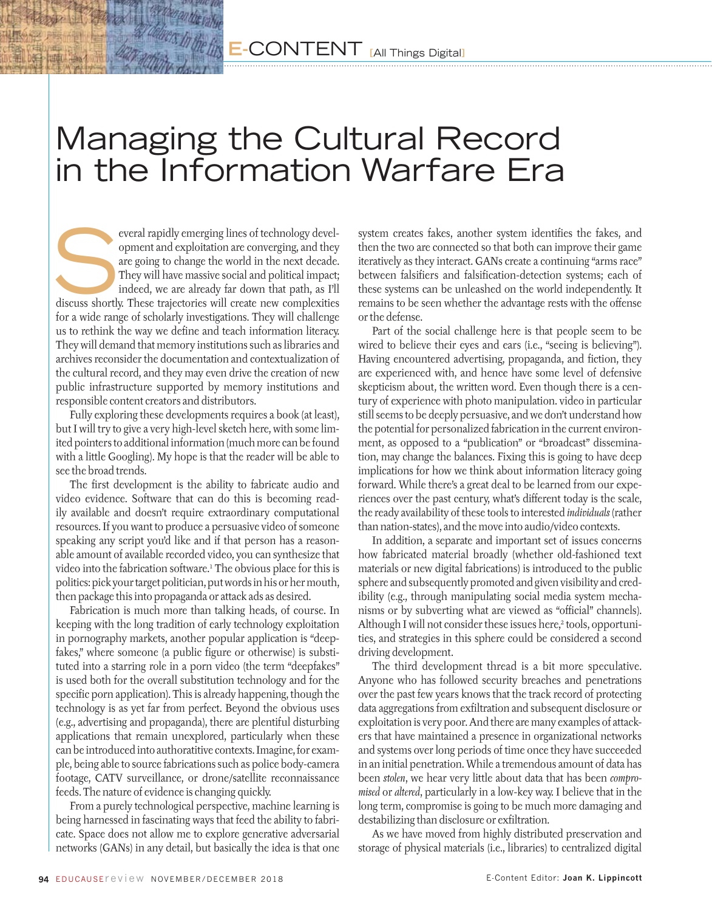## Managing the Cultural Record in the Information Warfare Era

everal rapidly emerging lines of technology development and exploitation are converging, and they are going to change the world in the next decade. They will have massive social and political impact; indeed, we are already opment and exploitation are converging, and they are going to change the world in the next decade. They will have massive social and political impact; indeed, we are already far down that path, as I'll for a wide range of scholarly investigations. They will challenge us to rethink the way we define and teach information literacy. They will demand that memory institutions such as libraries and archives reconsider the documentation and contextualization of the cultural record, and they may even drive the creation of new public infrastructure supported by memory institutions and responsible content creators and distributors.

Fully exploring these developments requires a book (at least), but I will try to give a very high-level sketch here, with some limited pointers to additional information (much more can be found with a little Googling). My hope is that the reader will be able to see the broad trends.

The first development is the ability to fabricate audio and video evidence. Software that can do this is becoming readily available and doesn't require extraordinary computational resources. If you want to produce a persuasive video of someone speaking any script you'd like and if that person has a reasonable amount of available recorded video, you can synthesize that video into the fabrication software.1 The obvious place for this is politics: pick your target politician, put words in his or her mouth, then package this into propaganda or attack ads as desired.

Fabrication is much more than talking heads, of course. In keeping with the long tradition of early technology exploitation in pornography markets, another popular application is "deepfakes," where someone (a public figure or otherwise) is substituted into a starring role in a porn video (the term "deepfakes" is used both for the overall substitution technology and for the specific porn application). This is already happening, though the technology is as yet far from perfect. Beyond the obvious uses (e.g., advertising and propaganda), there are plentiful disturbing applications that remain unexplored, particularly when these can be introduced into authoratitive contexts. Imagine, for example, being able to source fabrications such as police body-camera footage, CATV surveillance, or drone/satellite reconnaissance feeds. The nature of evidence is changing quickly.

From a purely technological perspective, machine learning is being harnessed in fascinating ways that feed the ability to fabricate. Space does not allow me to explore generative adversarial networks (GANs) in any detail, but basically the idea is that one system creates fakes, another system identifies the fakes, and then the two are connected so that both can improve their game iteratively as they interact. GANs create a continuing "arms race" between falsifiers and falsification-detection systems; each of these systems can be unleashed on the world independently. It remains to be seen whether the advantage rests with the offense or the defense.

Part of the social challenge here is that people seem to be wired to believe their eyes and ears (i.e., "seeing is believing"). Having encountered advertising, propaganda, and fiction, they are experienced with, and hence have some level of defensive skepticism about, the written word. Even though there is a century of experience with photo manipulation. video in particular still seems to be deeply persuasive, and we don't understand how the potential for personalized fabrication in the current environment, as opposed to a "publication" or "broadcast" dissemination, may change the balances. Fixing this is going to have deep implications for how we think about information literacy going forward. While there's a great deal to be learned from our experiences over the past century, what's different today is the scale, the ready availability of these tools to interested *individuals* (rather than nation-states), and the move into audio/video contexts.

In addition, a separate and important set of issues concerns how fabricated material broadly (whether old-fashioned text materials or new digital fabrications) is introduced to the public sphere and subsequently promoted and given visibility and credibility (e.g., through manipulating social media system mechanisms or by subverting what are viewed as "official" channels). Although I will not consider these issues here,<sup>2</sup> tools, opportunities, and strategies in this sphere could be considered a second driving development.

The third development thread is a bit more speculative. Anyone who has followed security breaches and penetrations over the past few years knows that the track record of protecting data aggregations from exfiltration and subsequent disclosure or exploitation is very poor. And there are many examples of attackers that have maintained a presence in organizational networks and systems over long periods of time once they have succeeded in an initial penetration. While a tremendous amount of data has been *stolen*, we hear very little about data that has been *compromised* or *altered*, particularly in a low-key way. I believe that in the long term, compromise is going to be much more damaging and destabilizing than disclosure or exfiltration.

As we have moved from highly distributed preservation and storage of physical materials (i.e., libraries) to centralized digital